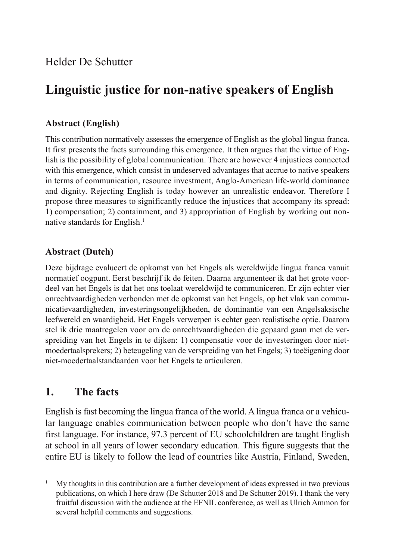# **Linguistic justice for non-native speakers of English**

# **Abstract (English)**

This contribution normatively assesses the emergence of English as the global lingua franca. It first presents the facts surrounding this emergence. It then argues that the virtue of English is the possibility of global communication. There are however 4 injustices connected with this emergence, which consist in undeserved advantages that accrue to native speakers in terms of communication, resource investment, Anglo-American life-world dominance and dignity. Rejecting English is today however an unrealistic endeavor. Therefore I propose three measures to significantly reduce the injustices that accompany its spread: 1) compensation; 2) containment, and 3) appropriation of English by working out nonnative standards for English.<sup>1</sup>

# **Abstract (Dutch)**

Deze bijdrage evalueert de opkomst van het Engels als wereldwijde lingua franca vanuit normatief oogpunt. Eerst beschrijf ik de feiten. Daarna argumenteer ik dat het grote voordeel van het Engels is dat het ons toelaat wereldwijd te communiceren. Er zijn echter vier onrechtvaardigheden verbonden met de opkomst van het Engels, op het vlak van communicatievaardigheden, investeringsongelijkheden, de dominantie van een Angelsaksische leefwereld en waardigheid. Het Engels verwerpen is echter geen realistische optie. Daarom stel ik drie maatregelen voor om de onrechtvaardigheden die gepaard gaan met de verspreiding van het Engels in te dijken: 1) compensatie voor de investeringen door nietmoedertaalsprekers; 2) beteugeling van de verspreiding van het Engels; 3) toeëigening door niet-moedertaalstandaarden voor het Engels te articuleren.

# **1. The facts**

English is fast becoming the lingua franca of the world. A lingua franca or a vehicular language enables communication between people who don't have the same first language. For instance, 97.3 percent of EU schoolchildren are taught English at school in all years of lower secondary education. This figure suggests that the entire EU is likely to follow the lead of countries like Austria, Finland, Sweden,

<sup>1</sup> My thoughts in this contribution are a further development of ideas expressed in two previous publications, on which I here draw (De Schutter 2018 and De Schutter 2019). I thank the very fruitful discussion with the audience at the EFNIL conference, as well as Ulrich Ammon for several helpful comments and suggestions.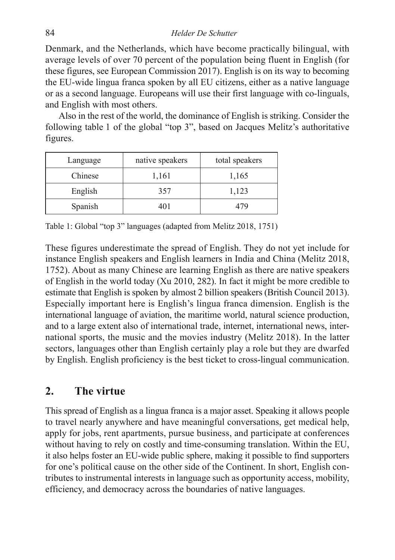Denmark, and the Netherlands, which have become practically bilingual, with average levels of over 70 percent of the population being fluent in English (for these figures, see European Commission 2017). English is on its way to becoming the EU-wide lingua franca spoken by all EU citizens, either as a native language or as a second language. Europeans will use their first language with co-linguals, and English with most others.

Also in the rest of the world, the dominance of English is striking. Consider the following table 1 of the global "top 3", based on Jacques Melitz's authoritative figures.

| Language | native speakers | total speakers |
|----------|-----------------|----------------|
| Chinese  | 1,161           | 1,165          |
| English  | 357             | 1,123          |
| Spanish  | 401             | 479            |

Table 1: Global "top 3" languages (adapted from Melitz 2018, 1751)

These figures underestimate the spread of English. They do not yet include for instance English speakers and English learners in India and China (Melitz 2018, 1752). About as many Chinese are learning English as there are native speakers of English in the world today (Xu 2010, 282). In fact it might be more credible to estimate that English is spoken by almost 2 billion speakers (British Council 2013). Especially important here is English's lingua franca dimension. English is the international language of aviation, the maritime world, natural science production, and to a large extent also of international trade, internet, international news, international sports, the music and the movies industry (Melitz 2018). In the latter sectors, languages other than English certainly play a role but they are dwarfed by English. English proficiency is the best ticket to cross-lingual communication.

# **2. The virtue**

This spread of English as a lingua franca is a major asset. Speaking it allows people to travel nearly anywhere and have meaningful conversations, get medical help, apply for jobs, rent apartments, pursue business, and participate at conferences without having to rely on costly and time-consuming translation. Within the EU, it also helps foster an EU-wide public sphere, making it possible to find supporters for one's political cause on the other side of the Continent. In short, English contributes to instrumental interests in language such as opportunity access, mobility, efficiency, and democracy across the boundaries of native languages.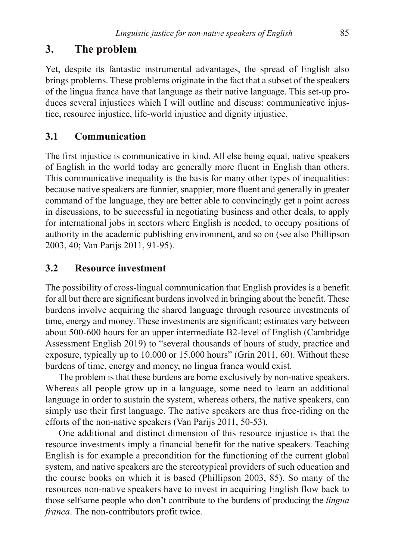# **3. The problem**

Yet, despite its fantastic instrumental advantages, the spread of English also brings problems. These problems originate in the fact that a subset of the speakers of the lingua franca have that language as their native language. This set-up produces several injustices which I will outline and discuss: communicative injustice, resource injustice, life-world injustice and dignity injustice.

# **3.1 Communication**

The first injustice is communicative in kind. All else being equal, native speakers of English in the world today are generally more fluent in English than others. This communicative inequality is the basis for many other types of inequalities: because native speakers are funnier, snappier, more fluent and generally in greater command of the language, they are better able to convincingly get a point across in discussions, to be successful in negotiating business and other deals, to apply for international jobs in sectors where English is needed, to occupy positions of authority in the academic publishing environment, and so on (see also Phillipson 2003, 40; Van Parijs 2011, 91-95).

# **3.2 Resource investment**

The possibility of cross-lingual communication that English provides is a benefit for all but there are significant burdens involved in bringing about the benefit. These burdens involve acquiring the shared language through resource investments of time, energy and money. These investments are significant; estimates vary between about 500-600 hours for an upper intermediate B2-level of English (Cambridge Assessment English 2019) to "several thousands of hours of study, practice and exposure, typically up to 10.000 or 15.000 hours" (Grin 2011, 60). Without these burdens of time, energy and money, no lingua franca would exist.

The problem is that these burdens are borne exclusively by non-native speakers. Whereas all people grow up in a language, some need to learn an additional language in order to sustain the system, whereas others, the native speakers, can simply use their first language. The native speakers are thus free-riding on the efforts of the non-native speakers (Van Parijs 2011, 50-53).

One additional and distinct dimension of this resource injustice is that the resource investments imply a financial benefit for the native speakers. Teaching English is for example a precondition for the functioning of the current global system, and native speakers are the stereotypical providers of such education and the course books on which it is based (Phillipson 2003, 85). So many of the resources non-native speakers have to invest in acquiring English flow back to those selfsame people who don't contribute to the burdens of producing the *lingua franca*. The non-contributors profit twice.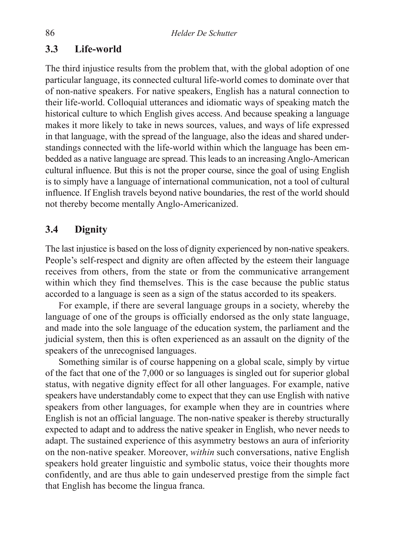### **3.3 Life-world**

The third injustice results from the problem that, with the global adoption of one particular language, its connected cultural life-world comes to dominate over that of non-native speakers. For native speakers, English has a natural connection to their life-world. Colloquial utterances and idiomatic ways of speaking match the historical culture to which English gives access. And because speaking a language makes it more likely to take in news sources, values, and ways of life expressed in that language, with the spread of the language, also the ideas and shared understandings connected with the life-world within which the language has been embedded as a native language are spread. This leads to an increasing Anglo-American cultural influence. But this is not the proper course, since the goal of using English is to simply have a language of international communication, not a tool of cultural influence. If English travels beyond native boundaries, the rest of the world should not thereby become mentally Anglo-Americanized.

## **3.4 Dignity**

The last injustice is based on the loss of dignity experienced by non-native speakers. People's self-respect and dignity are often affected by the esteem their language receives from others, from the state or from the communicative arrangement within which they find themselves. This is the case because the public status accorded to a language is seen as a sign of the status accorded to its speakers.

For example, if there are several language groups in a society, whereby the language of one of the groups is officially endorsed as the only state language, and made into the sole language of the education system, the parliament and the judicial system, then this is often experienced as an assault on the dignity of the speakers of the unrecognised languages.

Something similar is of course happening on a global scale, simply by virtue of the fact that one of the 7,000 or so languages is singled out for superior global status, with negative dignity effect for all other languages. For example, native speakers have understandably come to expect that they can use English with native speakers from other languages, for example when they are in countries where English is not an official language. The non-native speaker is thereby structurally expected to adapt and to address the native speaker in English, who never needs to adapt. The sustained experience of this asymmetry bestows an aura of inferiority on the non-native speaker. Moreover, *within* such conversations, native English speakers hold greater linguistic and symbolic status, voice their thoughts more confidently, and are thus able to gain undeserved prestige from the simple fact that English has become the lingua franca.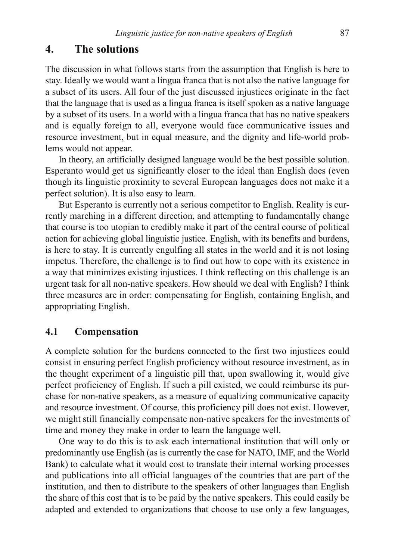## **4. The solutions**

The discussion in what follows starts from the assumption that English is here to stay. Ideally we would want a lingua franca that is not also the native language for a subset of its users. All four of the just discussed injustices originate in the fact that the language that is used as a lingua franca is itself spoken as a native language by a subset of its users. In a world with a lingua franca that has no native speakers and is equally foreign to all, everyone would face communicative issues and resource investment, but in equal measure, and the dignity and life-world problems would not appear.

In theory, an artificially designed language would be the best possible solution. Esperanto would get us significantly closer to the ideal than English does (even though its linguistic proximity to several European languages does not make it a perfect solution). It is also easy to learn.

But Esperanto is currently not a serious competitor to English. Reality is currently marching in a different direction, and attempting to fundamentally change that course is too utopian to credibly make it part of the central course of political action for achieving global linguistic justice. English, with its benefits and burdens, is here to stay. It is currently engulfing all states in the world and it is not losing impetus. Therefore, the challenge is to find out how to cope with its existence in a way that minimizes existing injustices. I think reflecting on this challenge is an urgent task for all non-native speakers. How should we deal with English? I think three measures are in order: compensating for English, containing English, and appropriating English.

#### **4.1 Compensation**

A complete solution for the burdens connected to the first two injustices could consist in ensuring perfect English proficiency without resource investment, as in the thought experiment of a linguistic pill that, upon swallowing it, would give perfect proficiency of English. If such a pill existed, we could reimburse its purchase for non-native speakers, as a measure of equalizing communicative capacity and resource investment. Of course, this proficiency pill does not exist. However, we might still financially compensate non-native speakers for the investments of time and money they make in order to learn the language well.

One way to do this is to ask each international institution that will only or predominantly use English (as is currently the case for NATO, IMF, and the World Bank) to calculate what it would cost to translate their internal working processes and publications into all official languages of the countries that are part of the institution, and then to distribute to the speakers of other languages than English the share of this cost that is to be paid by the native speakers. This could easily be adapted and extended to organizations that choose to use only a few languages,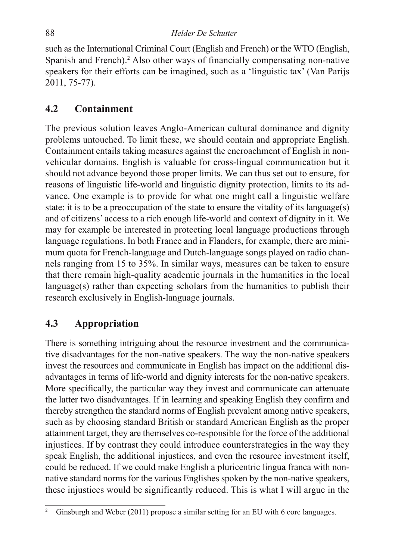such as the International Criminal Court (English and French) or the WTO (English, Spanish and French).<sup>2</sup> Also other ways of financially compensating non-native speakers for their efforts can be imagined, such as a 'linguistic tax' (Van Parijs 2011, 75-77).

# **4.2 Containment**

The previous solution leaves Anglo-American cultural dominance and dignity problems untouched. To limit these, we should contain and appropriate English. Containment entails taking measures against the encroachment of English in nonvehicular domains. English is valuable for cross-lingual communication but it should not advance beyond those proper limits. We can thus set out to ensure, for reasons of linguistic life-world and linguistic dignity protection, limits to its advance. One example is to provide for what one might call a linguistic welfare state: it is to be a preoccupation of the state to ensure the vitality of its language(s) and of citizens' access to a rich enough life-world and context of dignity in it. We may for example be interested in protecting local language productions through language regulations. In both France and in Flanders, for example, there are minimum quota for French-language and Dutch-language songs played on radio channels ranging from 15 to 35%. In similar ways, measures can be taken to ensure that there remain high-quality academic journals in the humanities in the local language(s) rather than expecting scholars from the humanities to publish their research exclusively in English-language journals.

# **4.3 Appropriation**

There is something intriguing about the resource investment and the communicative disadvantages for the non-native speakers. The way the non-native speakers invest the resources and communicate in English has impact on the additional disadvantages in terms of life-world and dignity interests for the non-native speakers. More specifically, the particular way they invest and communicate can attenuate the latter two disadvantages. If in learning and speaking English they confirm and thereby strengthen the standard norms of English prevalent among native speakers, such as by choosing standard British or standard American English as the proper attainment target, they are themselves co-responsible for the force of the additional injustices. If by contrast they could introduce counterstrategies in the way they speak English, the additional injustices, and even the resource investment itself, could be reduced. If we could make English a pluricentric lingua franca with nonnative standard norms for the various Englishes spoken by the non-native speakers, these injustices would be significantly reduced. This is what I will argue in the

<sup>&</sup>lt;sup>2</sup> Ginsburgh and Weber (2011) propose a similar setting for an EU with 6 core languages.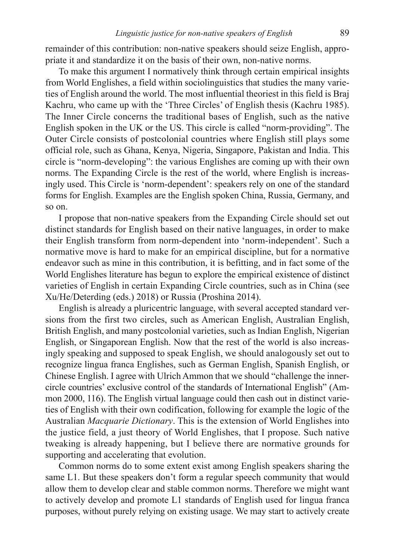remainder of this contribution: non-native speakers should seize English, appropriate it and standardize it on the basis of their own, non-native norms.

To make this argument I normatively think through certain empirical insights from World Englishes, a field within sociolinguistics that studies the many varieties of English around the world. The most influential theoriest in this field is Braj Kachru, who came up with the 'Three Circles' of English thesis (Kachru 1985). The Inner Circle concerns the traditional bases of English, such as the native English spoken in the UK or the US. This circle is called "norm-providing". The Outer Circle consists of postcolonial countries where English still plays some official role, such as Ghana, Kenya, Nigeria, Singapore, Pakistan and India. This circle is "norm-developing": the various Englishes are coming up with their own norms. The Expanding Circle is the rest of the world, where English is increasingly used. This Circle is 'norm-dependent': speakers rely on one of the standard forms for English. Examples are the English spoken China, Russia, Germany, and so on.

I propose that non-native speakers from the Expanding Circle should set out distinct standards for English based on their native languages, in order to make their English transform from norm-dependent into 'norm-independent'. Such a normative move is hard to make for an empirical discipline, but for a normative endeavor such as mine in this contribution, it is befitting, and in fact some of the World Englishes literature has begun to explore the empirical existence of distinct varieties of English in certain Expanding Circle countries, such as in China (see Xu/He/Deterding (eds.) 2018) or Russia (Proshina 2014).

English is already a pluricentric language, with several accepted standard versions from the first two circles, such as American English, Australian English, British English, and many postcolonial varieties, such as Indian English, Nigerian English, or Singaporean English. Now that the rest of the world is also increasingly speaking and supposed to speak English, we should analogously set out to recognize lingua franca Englishes, such as German English, Spanish English, or Chinese English. I agree with Ulrich Ammon that we should "challenge the innercircle countries' exclusive control of the standards of International English" (Ammon 2000, 116). The English virtual language could then cash out in distinct varieties of English with their own codification, following for example the logic of the Australian *Macquarie Dictionary*. This is the extension of World Englishes into the justice field, a just theory of World Englishes, that I propose. Such native tweaking is already happening, but I believe there are normative grounds for supporting and accelerating that evolution.

Common norms do to some extent exist among English speakers sharing the same L1. But these speakers don't form a regular speech community that would allow them to develop clear and stable common norms. Therefore we might want to actively develop and promote L1 standards of English used for lingua franca purposes, without purely relying on existing usage. We may start to actively create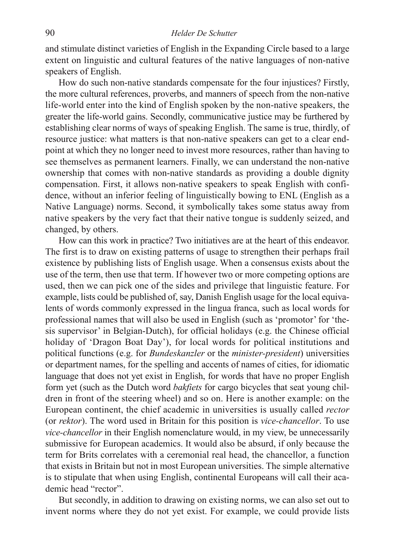and stimulate distinct varieties of English in the Expanding Circle based to a large extent on linguistic and cultural features of the native languages of non-native speakers of English.

How do such non-native standards compensate for the four injustices? Firstly, the more cultural references, proverbs, and manners of speech from the non-native life-world enter into the kind of English spoken by the non-native speakers, the greater the life-world gains. Secondly, communicative justice may be furthered by establishing clear norms of ways of speaking English. The same is true, thirdly, of resource justice: what matters is that non-native speakers can get to a clear endpoint at which they no longer need to invest more resources, rather than having to see themselves as permanent learners. Finally, we can understand the non-native ownership that comes with non-native standards as providing a double dignity compensation. First, it allows non-native speakers to speak English with confidence, without an inferior feeling of linguistically bowing to ENL (English as a Native Language) norms. Second, it symbolically takes some status away from native speakers by the very fact that their native tongue is suddenly seized, and changed, by others.

How can this work in practice? Two initiatives are at the heart of this endeavor. The first is to draw on existing patterns of usage to strengthen their perhaps frail existence by publishing lists of English usage. When a consensus exists about the use of the term, then use that term. If however two or more competing options are used, then we can pick one of the sides and privilege that linguistic feature. For example, lists could be published of, say, Danish English usage for the local equivalents of words commonly expressed in the lingua franca, such as local words for professional names that will also be used in English (such as 'promotor' for 'thesis supervisor' in Belgian-Dutch), for official holidays (e.g. the Chinese official holiday of 'Dragon Boat Day'), for local words for political institutions and political functions (e.g. for *Bundeskanzler* or the *minister-president*) universities or department names, for the spelling and accents of names of cities, for idiomatic language that does not yet exist in English, for words that have no proper English form yet (such as the Dutch word *bakfiets* for cargo bicycles that seat young children in front of the steering wheel) and so on. Here is another example: on the European continent, the chief academic in universities is usually called *rector*  (or *rektor*). The word used in Britain for this position is *vice-chancellor*. To use *vice-chancellor* in their English nomenclature would, in my view, be unnecessarily submissive for European academics. It would also be absurd, if only because the term for Brits correlates with a ceremonial real head, the chancellor, a function that exists in Britain but not in most European universities. The simple alternative is to stipulate that when using English, continental Europeans will call their academic head "rector".

But secondly, in addition to drawing on existing norms, we can also set out to invent norms where they do not yet exist. For example, we could provide lists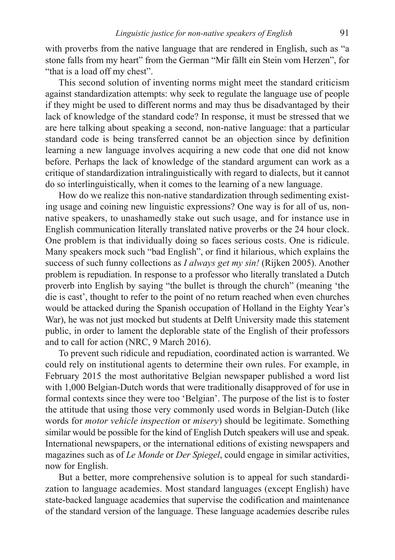with proverbs from the native language that are rendered in English, such as "a stone falls from my heart" from the German "Mir fällt ein Stein vom Herzen", for "that is a load off my chest".

This second solution of inventing norms might meet the standard criticism against standardization attempts: why seek to regulate the language use of people if they might be used to different norms and may thus be disadvantaged by their lack of knowledge of the standard code? In response, it must be stressed that we are here talking about speaking a second, non-native language: that a particular standard code is being transferred cannot be an objection since by definition learning a new language involves acquiring a new code that one did not know before. Perhaps the lack of knowledge of the standard argument can work as a critique of standardization intralinguistically with regard to dialects, but it cannot do so interlinguistically, when it comes to the learning of a new language.

How do we realize this non-native standardization through sedimenting existing usage and coining new linguistic expressions? One way is for all of us, nonnative speakers, to unashamedly stake out such usage, and for instance use in English communication literally translated native proverbs or the 24 hour clock. One problem is that individually doing so faces serious costs. One is ridicule. Many speakers mock such "bad English", or find it hilarious, which explains the success of such funny collections as *I always get my sin!* (Rijken 2005). Another problem is repudiation. In response to a professor who literally translated a Dutch proverb into English by saying "the bullet is through the church" (meaning 'the die is cast', thought to refer to the point of no return reached when even churches would be attacked during the Spanish occupation of Holland in the Eighty Year's War), he was not just mocked but students at Delft University made this statement public, in order to lament the deplorable state of the English of their professors and to call for action (NRC, 9 March 2016).

To prevent such ridicule and repudiation, coordinated action is warranted. We could rely on institutional agents to determine their own rules. For example, in February 2015 the most authoritative Belgian newspaper published a word list with 1,000 Belgian-Dutch words that were traditionally disapproved of for use in formal contexts since they were too 'Belgian'. The purpose of the list is to foster the attitude that using those very commonly used words in Belgian-Dutch (like words for *motor vehicle inspection* or *misery*) should be legitimate. Something similar would be possible for the kind of English Dutch speakers will use and speak. International newspapers, or the international editions of existing newspapers and magazines such as of *Le Monde* or *Der Spiegel*, could engage in similar activities, now for English.

But a better, more comprehensive solution is to appeal for such standardization to language academies. Most standard languages (except English) have state-backed language academies that supervise the codification and maintenance of the standard version of the language. These language academies describe rules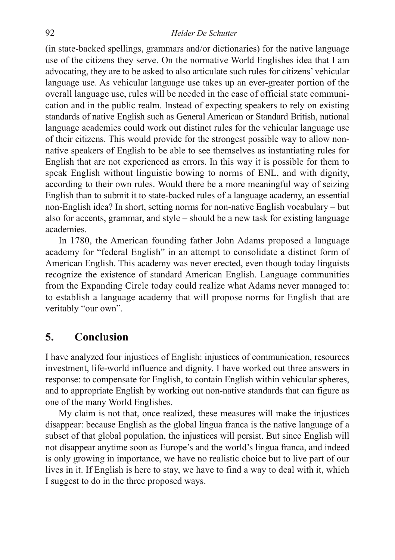#### 92 *Helder De Schutter*

(in state-backed spellings, grammars and/or dictionaries) for the native language use of the citizens they serve. On the normative World Englishes idea that I am advocating, they are to be asked to also articulate such rules for citizens' vehicular language use. As vehicular language use takes up an ever-greater portion of the overall language use, rules will be needed in the case of official state communication and in the public realm. Instead of expecting speakers to rely on existing standards of native English such as General American or Standard British, national language academies could work out distinct rules for the vehicular language use of their citizens. This would provide for the strongest possible way to allow nonnative speakers of English to be able to see themselves as instantiating rules for English that are not experienced as errors. In this way it is possible for them to speak English without linguistic bowing to norms of ENL, and with dignity, according to their own rules. Would there be a more meaningful way of seizing English than to submit it to state-backed rules of a language academy, an essential non-English idea? In short, setting norms for non-native English vocabulary – but also for accents, grammar, and style – should be a new task for existing language academies.

In 1780, the American founding father John Adams proposed a language academy for "federal English" in an attempt to consolidate a distinct form of American English. This academy was never erected, even though today linguists recognize the existence of standard American English. Language communities from the Expanding Circle today could realize what Adams never managed to: to establish a language academy that will propose norms for English that are veritably "our own".

## **5. Conclusion**

I have analyzed four injustices of English: injustices of communication, resources investment, life-world influence and dignity. I have worked out three answers in response: to compensate for English, to contain English within vehicular spheres, and to appropriate English by working out non-native standards that can figure as one of the many World Englishes.

My claim is not that, once realized, these measures will make the injustices disappear: because English as the global lingua franca is the native language of a subset of that global population, the injustices will persist. But since English will not disappear anytime soon as Europe's and the world's lingua franca, and indeed is only growing in importance, we have no realistic choice but to live part of our lives in it. If English is here to stay, we have to find a way to deal with it, which I suggest to do in the three proposed ways.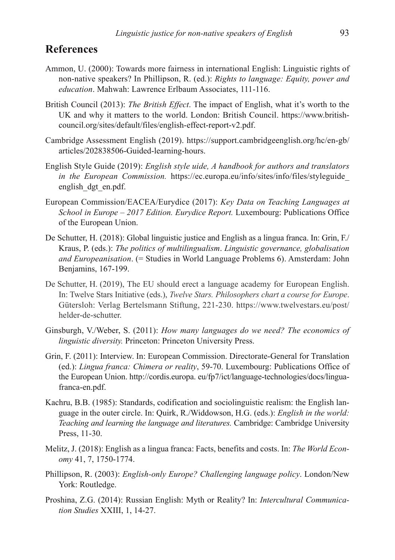# **References**

- Ammon, U. (2000): Towards more fairness in international English: Linguistic rights of non-native speakers? In Phillipson, R. (ed.): *Rights to language: Equity, power and education*. Mahwah: Lawrence Erlbaum Associates, 111-116.
- British Council (2013): *The British Effect*. The impact of English, what it's worth to the UK and why it matters to the world. London: British Council. https://www.britishcouncil.org/sites/default/files/english-effect-report-v2.pdf.
- Cambridge Assessment English (2019). https://support.cambridgeenglish.org/hc/en-gb/ articles/202838506-Guided-learning-hours.
- English Style Guide (2019): *English style uide, A handbook for authors and translators in the European Commission.* https://ec.europa.eu/info/sites/info/files/styleguide\_ english\_dgt\_en.pdf.
- European Commission/EACEA/Eurydice (2017): *Key Data on Teaching Languages at School in Europe – 2017 Edition. Eurydice Report.* Luxembourg: Publications Office of the European Union.
- De Schutter, H. (2018): Global linguistic justice and English as a lingua franca. In: Grin, F. Kraus, P. (eds.): *The politics of multilingualism*. *Linguistic governance, globalisation and Europeanisation*. (= Studies in World Language Problems 6). Amsterdam: John Benjamins, 167-199.
- De Schutter, H. (2019), The EU should erect a language academy for European English. In: Twelve Stars Initiative (eds.), *Twelve Stars. Philosophers chart a course for Europe*. Gütersloh: Verlag Bertelsmann Stiftung, 221-230. https://www.twelvestars.eu/post/ helder-de-schutter.
- Ginsburgh, V./Weber, S. (2011): *How many languages do we need? The economics of linguistic diversity.* Princeton: Princeton University Press.
- Grin, F. (2011): Interview. In: European Commission. Directorate-General for Translation (ed.): *Lingua franca: Chimera or reality*, 59-70. Luxembourg: Publications Office of the European Union. http://cordis.europa. eu/fp7/ict/language-technologies/docs/linguafranca-en.pdf.
- Kachru, B.B. (1985): Standards, codification and sociolinguistic realism: the English language in the outer circle. In: Quirk, R./Widdowson, H.G. (eds.): *English in the world: Teaching and learning the language and literatures.* Cambridge: Cambridge University Press, 11-30.
- Melitz, J. (2018): English as a lingua franca: Facts, benefits and costs. In: *The World Economy* 41, 7, 1750-1774.
- Phillipson, R. (2003): *English-only Europe? Challenging language policy*. London/New York: Routledge.
- Proshina, Z.G. (2014): Russian English: Myth or Reality? In: *Intercultural Communication Studies* XXIII, 1, 14-27.